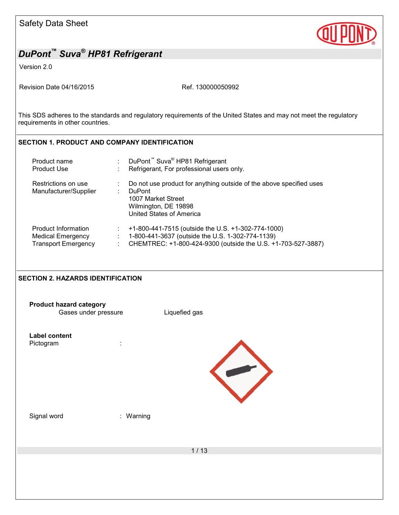

Version 2.0

Revision Date 04/16/2015 Ref. 130000050992

This SDS adheres to the standards and regulatory requirements of the United States and may not meet the regulatory requirements in other countries.

### **SECTION 1. PRODUCT AND COMPANY IDENTIFICATION**

| Product name<br><b>Product Use</b> | DuPont <sup>™</sup> Suva <sup>®</sup> HP81 Refrigerant<br>Refrigerant, For professional users only. |
|------------------------------------|-----------------------------------------------------------------------------------------------------|
|                                    |                                                                                                     |
| Restrictions on use                | Do not use product for anything outside of the above specified uses                                 |
| Manufacturer/Supplier              | <b>DuPont</b>                                                                                       |
|                                    | 1007 Market Street                                                                                  |
|                                    | Wilmington, DE 19898                                                                                |
|                                    | United States of America                                                                            |
|                                    |                                                                                                     |
| Product Information                | +1-800-441-7515 (outside the U.S. +1-302-774-1000)                                                  |
| <b>Medical Emergency</b>           | 1-800-441-3637 (outside the U.S. 1-302-774-1139)                                                    |
| <b>Transport Emergency</b>         | CHEMTREC: +1-800-424-9300 (outside the U.S. +1-703-527-3887)                                        |

### **SECTION 2. HAZARDS IDENTIFICATION**

| <b>Product hazard category</b><br>Gases under pressure |           | Liquefied gas |
|--------------------------------------------------------|-----------|---------------|
| <b>Label content</b><br>Pictogram                      | t         |               |
| Signal word                                            | : Warning |               |
|                                                        |           | $1/13$        |
|                                                        |           |               |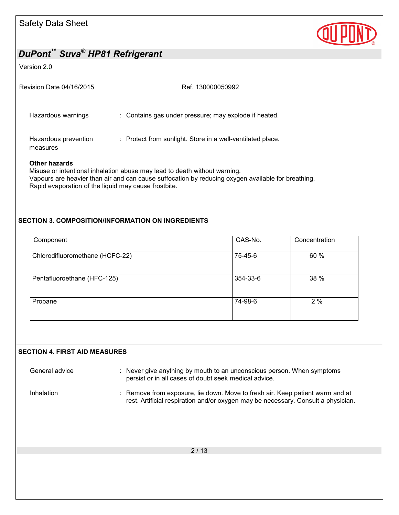

#### Version 2.0

| Revision Date 04/16/2015         | Ref. 130000050992                                          |
|----------------------------------|------------------------------------------------------------|
| Hazardous warnings               | : Contains gas under pressure; may explode if heated.      |
| Hazardous prevention<br>measures | : Protect from sunlight. Store in a well-ventilated place. |
| Other hazards                    |                                                            |

Misuse or intentional inhalation abuse may lead to death without warning. Vapours are heavier than air and can cause suffocation by reducing oxygen available for breathing. Rapid evaporation of the liquid may cause frostbite.

#### **SECTION 3. COMPOSITION/INFORMATION ON INGREDIENTS**

| Component                       | CAS-No.  | Concentration |
|---------------------------------|----------|---------------|
| Chlorodifluoromethane (HCFC-22) | 75-45-6  | 60 %          |
| Pentafluoroethane (HFC-125)     | 354-33-6 | 38 %          |
| Propane                         | 74-98-6  | 2%            |

#### **SECTION 4. FIRST AID MEASURES**

General advice : Never give anything by mouth to an unconscious person. When symptoms persist or in all cases of doubt seek medical advice. Inhalation : Remove from exposure, lie down. Move to fresh air. Keep patient warm and at rest. Artificial respiration and/or oxygen may be necessary. Consult a physician.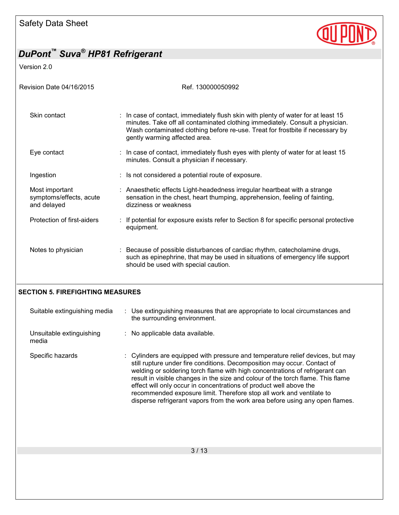

Version 2.0

| Revision Date 04/16/2015                                 | Ref. 130000050992                                                                                                                                                                                                                                                                                                                                                                                 |
|----------------------------------------------------------|---------------------------------------------------------------------------------------------------------------------------------------------------------------------------------------------------------------------------------------------------------------------------------------------------------------------------------------------------------------------------------------------------|
| Skin contact                                             | : In case of contact, immediately flush skin with plenty of water for at least 15<br>minutes. Take off all contaminated clothing immediately. Consult a physician.<br>Wash contaminated clothing before re-use. Treat for frostbite if necessary by<br>gently warming affected area.                                                                                                              |
| Eye contact                                              | : In case of contact, immediately flush eyes with plenty of water for at least 15<br>minutes. Consult a physician if necessary.                                                                                                                                                                                                                                                                   |
| Ingestion                                                | : Is not considered a potential route of exposure.                                                                                                                                                                                                                                                                                                                                                |
| Most important<br>symptoms/effects, acute<br>and delayed | : Anaesthetic effects Light-headedness irregular heartbeat with a strange<br>sensation in the chest, heart thumping, apprehension, feeling of fainting,<br>dizziness or weakness                                                                                                                                                                                                                  |
| Protection of first-aiders                               | If potential for exposure exists refer to Section 8 for specific personal protective<br>equipment.                                                                                                                                                                                                                                                                                                |
| Notes to physician                                       | : Because of possible disturbances of cardiac rhythm, catecholamine drugs,<br>such as epinephrine, that may be used in situations of emergency life support<br>should be used with special caution.                                                                                                                                                                                               |
| <b>SECTION 5. FIREFIGHTING MEASURES</b>                  |                                                                                                                                                                                                                                                                                                                                                                                                   |
| Suitable extinguishing media                             | : Use extinguishing measures that are appropriate to local circumstances and<br>the surrounding environment.                                                                                                                                                                                                                                                                                      |
| Unsuitable extinguishing<br>media                        | No applicable data available.                                                                                                                                                                                                                                                                                                                                                                     |
| Specific hazards                                         | Cylinders are equipped with pressure and temperature relief devices, but may<br>still rupture under fire conditions. Decomposition may occur. Contact of<br>welding or soldering torch flame with high concentrations of refrigerant can<br>result in visible changes in the size and colour of the torch flame. This flame<br>effect will only occur in concentrations of product well above the |
|                                                          | recommended exposure limit. Therefore stop all work and ventilate to<br>disperse refrigerant vapors from the work area before using any open flames.                                                                                                                                                                                                                                              |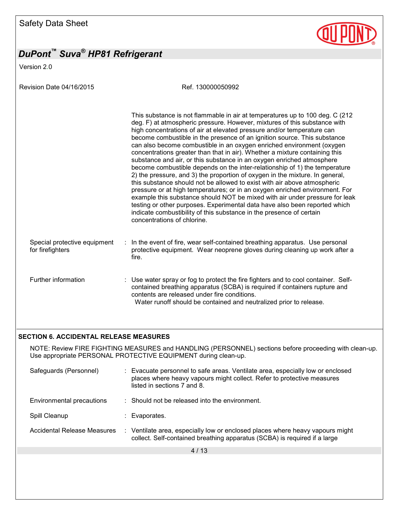Version 2.0

Revision Date 04/16/2015 Ref. 130000050992

|                                                  |     | This substance is not flammable in air at temperatures up to 100 deg. C (212<br>deg. F) at atmospheric pressure. However, mixtures of this substance with<br>high concentrations of air at elevated pressure and/or temperature can<br>become combustible in the presence of an ignition source. This substance<br>can also become combustible in an oxygen enriched environment (oxygen<br>concentrations greater than that in air). Whether a mixture containing this<br>substance and air, or this substance in an oxygen enriched atmosphere<br>become combustible depends on the inter-relationship of 1) the temperature<br>2) the pressure, and 3) the proportion of oxygen in the mixture. In general,<br>this substance should not be allowed to exist with air above atmospheric<br>pressure or at high temperatures; or in an oxygen enriched environment. For<br>example this substance should NOT be mixed with air under pressure for leak<br>testing or other purposes. Experimental data have also been reported which<br>indicate combustibility of this substance in the presence of certain<br>concentrations of chlorine. |
|--------------------------------------------------|-----|-----------------------------------------------------------------------------------------------------------------------------------------------------------------------------------------------------------------------------------------------------------------------------------------------------------------------------------------------------------------------------------------------------------------------------------------------------------------------------------------------------------------------------------------------------------------------------------------------------------------------------------------------------------------------------------------------------------------------------------------------------------------------------------------------------------------------------------------------------------------------------------------------------------------------------------------------------------------------------------------------------------------------------------------------------------------------------------------------------------------------------------------------|
| Special protective equipment<br>for firefighters | У., | In the event of fire, wear self-contained breathing apparatus. Use personal<br>protective equipment. Wear neoprene gloves during cleaning up work after a<br>fire.                                                                                                                                                                                                                                                                                                                                                                                                                                                                                                                                                                                                                                                                                                                                                                                                                                                                                                                                                                            |
| Further information                              |     | : Use water spray or fog to protect the fire fighters and to cool container. Self-<br>contained breathing apparatus (SCBA) is required if containers rupture and<br>contents are released under fire conditions.<br>Water runoff should be contained and neutralized prior to release.                                                                                                                                                                                                                                                                                                                                                                                                                                                                                                                                                                                                                                                                                                                                                                                                                                                        |

#### **SECTION 6. ACCIDENTAL RELEASE MEASURES**

NOTE: Review FIRE FIGHTING MEASURES and HANDLING (PERSONNEL) sections before proceeding with clean-up. Use appropriate PERSONAL PROTECTIVE EQUIPMENT during clean-up.

| Safeguards (Personnel)      | : Evacuate personnel to safe areas. Ventilate area, especially low or enclosed<br>places where heavy vapours might collect. Refer to protective measures<br>listed in sections 7 and 8. |
|-----------------------------|-----------------------------------------------------------------------------------------------------------------------------------------------------------------------------------------|
| Environmental precautions   | $\therefore$ Should not be released into the environment.                                                                                                                               |
| Spill Cleanup               | : Evaporates.                                                                                                                                                                           |
| Accidental Release Measures | : Ventilate area, especially low or enclosed places where heavy vapours might<br>collect. Self-contained breathing apparatus (SCBA) is required if a large                              |
|                             |                                                                                                                                                                                         |

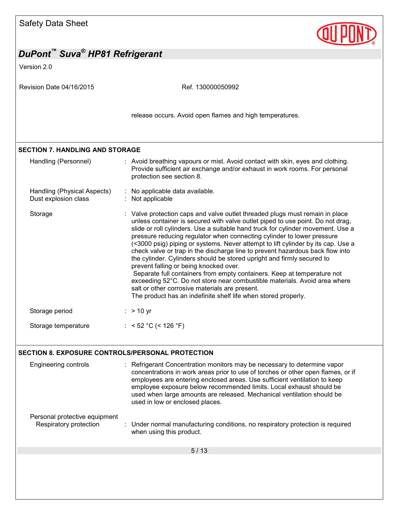| <b>Safety Data Sheet</b>                                |                                                                                                                                                                                                                                                                                                                                                                                                                                                                                                                                                                                                                                                                                                                                                                                                                                                                                                  |
|---------------------------------------------------------|--------------------------------------------------------------------------------------------------------------------------------------------------------------------------------------------------------------------------------------------------------------------------------------------------------------------------------------------------------------------------------------------------------------------------------------------------------------------------------------------------------------------------------------------------------------------------------------------------------------------------------------------------------------------------------------------------------------------------------------------------------------------------------------------------------------------------------------------------------------------------------------------------|
| DuPont™ Suva <sup>®</sup> HP81 Refrigerant              |                                                                                                                                                                                                                                                                                                                                                                                                                                                                                                                                                                                                                                                                                                                                                                                                                                                                                                  |
| Version 2.0                                             |                                                                                                                                                                                                                                                                                                                                                                                                                                                                                                                                                                                                                                                                                                                                                                                                                                                                                                  |
| Revision Date 04/16/2015                                | Ref. 130000050992                                                                                                                                                                                                                                                                                                                                                                                                                                                                                                                                                                                                                                                                                                                                                                                                                                                                                |
|                                                         | release occurs. Avoid open flames and high temperatures.                                                                                                                                                                                                                                                                                                                                                                                                                                                                                                                                                                                                                                                                                                                                                                                                                                         |
| <b>SECTION 7. HANDLING AND STORAGE</b>                  |                                                                                                                                                                                                                                                                                                                                                                                                                                                                                                                                                                                                                                                                                                                                                                                                                                                                                                  |
| Handling (Personnel)                                    | : Avoid breathing vapours or mist. Avoid contact with skin, eyes and clothing.<br>Provide sufficient air exchange and/or exhaust in work rooms. For personal<br>protection see section 8.                                                                                                                                                                                                                                                                                                                                                                                                                                                                                                                                                                                                                                                                                                        |
| Handling (Physical Aspects)<br>Dust explosion class     | No applicable data available.<br>Not applicable                                                                                                                                                                                                                                                                                                                                                                                                                                                                                                                                                                                                                                                                                                                                                                                                                                                  |
| Storage                                                 | : Valve protection caps and valve outlet threaded plugs must remain in place<br>unless container is secured with valve outlet piped to use point. Do not drag,<br>slide or roll cylinders. Use a suitable hand truck for cylinder movement. Use a<br>pressure reducing regulator when connecting cylinder to lower pressure<br>(<3000 psig) piping or systems. Never attempt to lift cylinder by its cap. Use a<br>check valve or trap in the discharge line to prevent hazardous back flow into<br>the cylinder. Cylinders should be stored upright and firmly secured to<br>prevent falling or being knocked over.<br>Separate full containers from empty containers. Keep at temperature not<br>exceeding 52°C. Do not store near combustible materials. Avoid area where<br>salt or other corrosive materials are present.<br>The product has an indefinite shelf life when stored properly. |
| Storage period                                          | $> 10$ yr                                                                                                                                                                                                                                                                                                                                                                                                                                                                                                                                                                                                                                                                                                                                                                                                                                                                                        |
| Storage temperature                                     | : < 52 °C (< 126 °F)                                                                                                                                                                                                                                                                                                                                                                                                                                                                                                                                                                                                                                                                                                                                                                                                                                                                             |
| <b>SECTION 8. EXPOSURE CONTROLS/PERSONAL PROTECTION</b> |                                                                                                                                                                                                                                                                                                                                                                                                                                                                                                                                                                                                                                                                                                                                                                                                                                                                                                  |
| <b>Engineering controls</b>                             | : Refrigerant Concentration monitors may be necessary to determine vapor<br>concentrations in work areas prior to use of torches or other open flames, or if<br>employees are entering enclosed areas. Use sufficient ventilation to keep<br>employee exposure below recommended limits. Local exhaust should be<br>used when large amounts are released. Mechanical ventilation should be<br>used in low or enclosed places.                                                                                                                                                                                                                                                                                                                                                                                                                                                                    |
| Personal protective equipment<br>Respiratory protection | Under normal manufacturing conditions, no respiratory protection is required<br>when using this product.                                                                                                                                                                                                                                                                                                                                                                                                                                                                                                                                                                                                                                                                                                                                                                                         |
|                                                         | 5/13                                                                                                                                                                                                                                                                                                                                                                                                                                                                                                                                                                                                                                                                                                                                                                                                                                                                                             |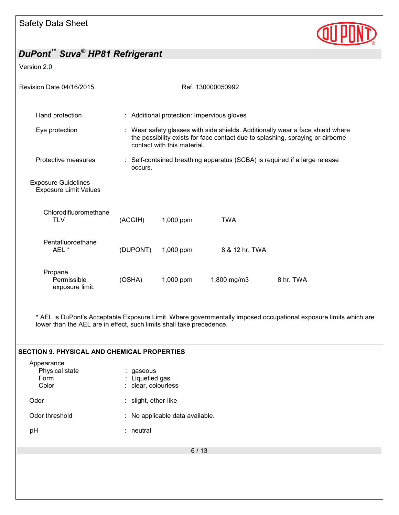

Version 2.0

| Revision Date 04/16/2015                                   |                                                                                                                                                                                                 |                                            | Ref. 130000050992                                                          |           |
|------------------------------------------------------------|-------------------------------------------------------------------------------------------------------------------------------------------------------------------------------------------------|--------------------------------------------|----------------------------------------------------------------------------|-----------|
| Hand protection                                            |                                                                                                                                                                                                 | : Additional protection: Impervious gloves |                                                                            |           |
| Eye protection                                             | : Wear safety glasses with side shields. Additionally wear a face shield where<br>the possibility exists for face contact due to splashing, spraying or airborne<br>contact with this material. |                                            |                                                                            |           |
| Protective measures                                        | occurs.                                                                                                                                                                                         |                                            | : Self-contained breathing apparatus (SCBA) is required if a large release |           |
| <b>Exposure Guidelines</b><br><b>Exposure Limit Values</b> |                                                                                                                                                                                                 |                                            |                                                                            |           |
| Chlorodifluoromethane<br><b>TLV</b>                        | (ACGIH)                                                                                                                                                                                         | 1,000 ppm                                  | <b>TWA</b>                                                                 |           |
| Pentafluoroethane<br>AEL <sup>*</sup>                      | (DUPONT)                                                                                                                                                                                        | 1,000 ppm                                  | 8 & 12 hr. TWA                                                             |           |
| Propane<br>Permissible<br>exposure limit:                  | (OSHA)                                                                                                                                                                                          | 1,000 ppm                                  | 1,800 mg/m3                                                                | 8 hr. TWA |

\* AEL is DuPont's Acceptable Exposure Limit. Where governmentally imposed occupational exposure limits which are lower than the AEL are in effect, such limits shall take precedence.

| Appearance<br>Physical state<br>Form<br>Color | : gaseous<br>: Liquefied gas<br>: clear, colourless |
|-----------------------------------------------|-----------------------------------------------------|
| Odor                                          | : slight, ether-like                                |
| Odor threshold                                | : No applicable data available.                     |
| pH                                            | : neutral                                           |
|                                               | 6/13                                                |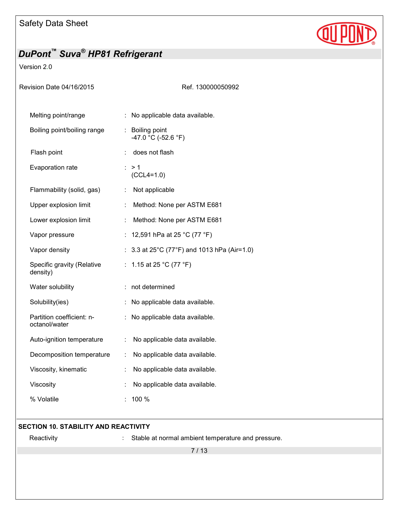

#### Version 2.0

| Revision Date 04/16/2015                   |                                           | Ref. 130000050992 |
|--------------------------------------------|-------------------------------------------|-------------------|
| Melting point/range                        | No applicable data available.             |                   |
| Boiling point/boiling range                | Boiling point<br>-47.0 °C (-52.6 °F)      |                   |
| Flash point                                | does not flash                            |                   |
| Evaporation rate                           | >1<br>$(CCL4=1.0)$                        |                   |
| Flammability (solid, gas)                  | Not applicable                            |                   |
| Upper explosion limit                      | Method: None per ASTM E681<br>t.          |                   |
| Lower explosion limit                      | Method: None per ASTM E681                |                   |
| Vapor pressure                             | 12,591 hPa at 25 °C (77 °F)               |                   |
| Vapor density                              | 3.3 at 25°C (77°F) and 1013 hPa (Air=1.0) |                   |
| Specific gravity (Relative<br>density)     | 1.15 at 25 °C (77 °F)<br>t.               |                   |
| Water solubility                           | : not determined                          |                   |
| Solubility(ies)                            | No applicable data available.             |                   |
| Partition coefficient: n-<br>octanol/water | No applicable data available.             |                   |
| Auto-ignition temperature                  | No applicable data available.             |                   |
| Decomposition temperature                  | No applicable data available.             |                   |
| Viscosity, kinematic                       | No applicable data available.             |                   |
| Viscosity                                  | No applicable data available.             |                   |
| % Volatile                                 | 100 %                                     |                   |
|                                            |                                           |                   |

#### **SECTION 10. STABILITY AND REACTIVITY**

Reactivity **Exercise 20** Constants and pressure. Stable at normal ambient temperature and pressure.

7 / 13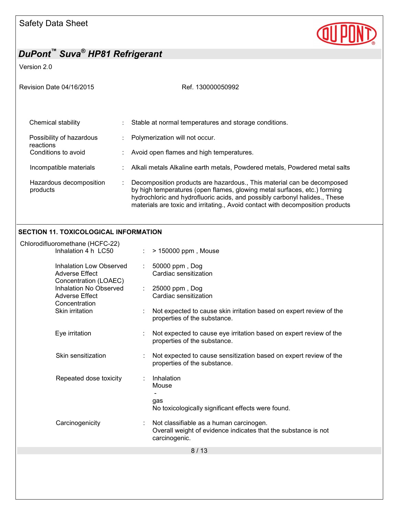

Version 2.0

| Revision Date 04/16/2015                                                                                                                             | Ref. 130000050992                                                                                                                                                                                                                                                                           |  |  |
|------------------------------------------------------------------------------------------------------------------------------------------------------|---------------------------------------------------------------------------------------------------------------------------------------------------------------------------------------------------------------------------------------------------------------------------------------------|--|--|
| Chemical stability<br>Possibility of hazardous<br>reactions<br>Conditions to avoid<br>Incompatible materials<br>Hazardous decomposition              | Stable at normal temperatures and storage conditions.<br>Polymerization will not occur.<br>Avoid open flames and high temperatures.<br>Alkali metals Alkaline earth metals, Powdered metals, Powdered metal salts<br>Decomposition products are hazardous., This material can be decomposed |  |  |
| products                                                                                                                                             | by high temperatures (open flames, glowing metal surfaces, etc.) forming<br>hydrochloric and hydrofluoric acids, and possibly carbonyl halides., These<br>materials are toxic and irritating., Avoid contact with decomposition products                                                    |  |  |
| <b>SECTION 11. TOXICOLOGICAL INFORMATION</b>                                                                                                         |                                                                                                                                                                                                                                                                                             |  |  |
| Chlorodifluoromethane (HCFC-22)<br>Inhalation 4 h LC50                                                                                               | > 150000 ppm, Mouse                                                                                                                                                                                                                                                                         |  |  |
| <b>Inhalation Low Observed</b><br><b>Adverse Effect</b><br>Concentration (LOAEC)<br>Inhalation No Observed<br><b>Adverse Effect</b><br>Concentration | 50000 ppm, Dog<br>Cardiac sensitization                                                                                                                                                                                                                                                     |  |  |
|                                                                                                                                                      | 25000 ppm, Dog<br>÷<br>Cardiac sensitization                                                                                                                                                                                                                                                |  |  |
| Skin irritation                                                                                                                                      | Not expected to cause skin irritation based on expert review of the<br>properties of the substance.                                                                                                                                                                                         |  |  |
| Eye irritation                                                                                                                                       | Not expected to cause eye irritation based on expert review of the<br>properties of the substance.                                                                                                                                                                                          |  |  |

Skin sensitization : Not expected to cause sensitization based on expert review of the properties of the substance.

Repeated dose toxicity : Inhalation Mouse gas No toxicologically significant effects were found. Carcinogenicity : Not classifiable as a human carcinogen. Overall weight of evidence indicates that the substance is not carcinogenic.

8 / 13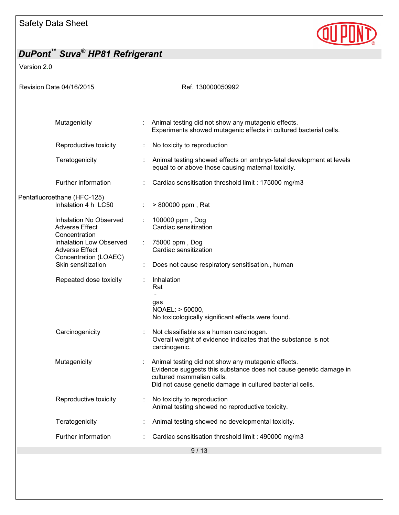

Version 2.0

| Revision Date 04/16/2015                                                  | Ref. 130000050992                                                                                                                                                                                                 |
|---------------------------------------------------------------------------|-------------------------------------------------------------------------------------------------------------------------------------------------------------------------------------------------------------------|
|                                                                           |                                                                                                                                                                                                                   |
| Mutagenicity                                                              | Animal testing did not show any mutagenic effects.<br>Experiments showed mutagenic effects in cultured bacterial cells.                                                                                           |
| Reproductive toxicity                                                     | No toxicity to reproduction                                                                                                                                                                                       |
| Teratogenicity                                                            | Animal testing showed effects on embryo-fetal development at levels<br>equal to or above those causing maternal toxicity.                                                                                         |
| Further information                                                       | Cardiac sensitisation threshold limit: 175000 mg/m3                                                                                                                                                               |
| Pentafluoroethane (HFC-125)<br>Inhalation 4 h LC50                        | > 800000 ppm, Rat                                                                                                                                                                                                 |
| Inhalation No Observed<br><b>Adverse Effect</b><br>Concentration          | 100000 ppm, Dog<br>Cardiac sensitization                                                                                                                                                                          |
| Inhalation Low Observed<br><b>Adverse Effect</b><br>Concentration (LOAEC) | 75000 ppm, Dog<br>Cardiac sensitization                                                                                                                                                                           |
| Skin sensitization                                                        | Does not cause respiratory sensitisation., human                                                                                                                                                                  |
| Repeated dose toxicity                                                    | Inhalation<br>Rat<br>gas<br>NOAEL: > 50000,<br>No toxicologically significant effects were found.                                                                                                                 |
| Carcinogenicity                                                           | Not classifiable as a human carcinogen.<br>Overall weight of evidence indicates that the substance is not<br>carcinogenic.                                                                                        |
| Mutagenicity                                                              | Animal testing did not show any mutagenic effects.<br>Evidence suggests this substance does not cause genetic damage in<br>cultured mammalian cells.<br>Did not cause genetic damage in cultured bacterial cells. |
| Reproductive toxicity                                                     | No toxicity to reproduction<br>Animal testing showed no reproductive toxicity.                                                                                                                                    |
| Teratogenicity                                                            | Animal testing showed no developmental toxicity.                                                                                                                                                                  |
| Further information                                                       | Cardiac sensitisation threshold limit: 490000 mg/m3                                                                                                                                                               |
|                                                                           | 9/13                                                                                                                                                                                                              |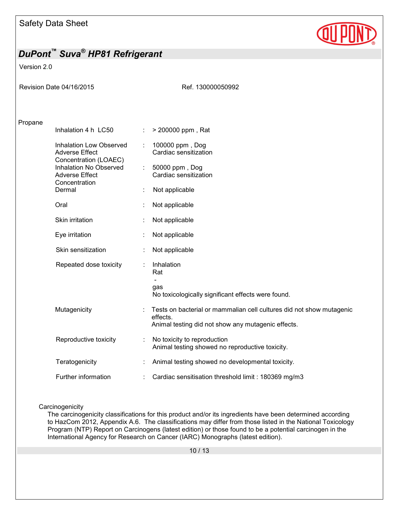

#### Version 2.0

|         | Revision Date 04/16/2015                                                  |   | Ref. 130000050992                                                                                                                      |
|---------|---------------------------------------------------------------------------|---|----------------------------------------------------------------------------------------------------------------------------------------|
| Propane |                                                                           |   |                                                                                                                                        |
|         | Inhalation 4 h LC50                                                       | ÷ | > 200000 ppm, Rat                                                                                                                      |
|         | Inhalation Low Observed<br><b>Adverse Effect</b><br>Concentration (LOAEC) |   | 100000 ppm, Dog<br>Cardiac sensitization                                                                                               |
|         | Inhalation No Observed<br><b>Adverse Effect</b><br>Concentration          |   | 50000 ppm, Dog<br>Cardiac sensitization                                                                                                |
|         | Dermal                                                                    |   | Not applicable                                                                                                                         |
|         | Oral                                                                      |   | Not applicable                                                                                                                         |
|         | Skin irritation                                                           |   | Not applicable                                                                                                                         |
|         | Eye irritation                                                            |   | Not applicable                                                                                                                         |
|         | Skin sensitization                                                        |   | Not applicable                                                                                                                         |
|         | Repeated dose toxicity                                                    |   | Inhalation<br>Rat                                                                                                                      |
|         |                                                                           |   | gas<br>No toxicologically significant effects were found.                                                                              |
|         | Mutagenicity                                                              |   | Tests on bacterial or mammalian cell cultures did not show mutagenic<br>effects.<br>Animal testing did not show any mutagenic effects. |
|         | Reproductive toxicity                                                     |   | No toxicity to reproduction<br>Animal testing showed no reproductive toxicity.                                                         |
|         | Teratogenicity                                                            |   | Animal testing showed no developmental toxicity.                                                                                       |
|         | Further information                                                       |   | Cardiac sensitisation threshold limit: 180369 mg/m3                                                                                    |

#### **Carcinogenicity**

The carcinogenicity classifications for this product and/or its ingredients have been determined according to HazCom 2012, Appendix A.6. The classifications may differ from those listed in the National Toxicology Program (NTP) Report on Carcinogens (latest edition) or those found to be a potential carcinogen in the International Agency for Research on Cancer (IARC) Monographs (latest edition).

10 / 13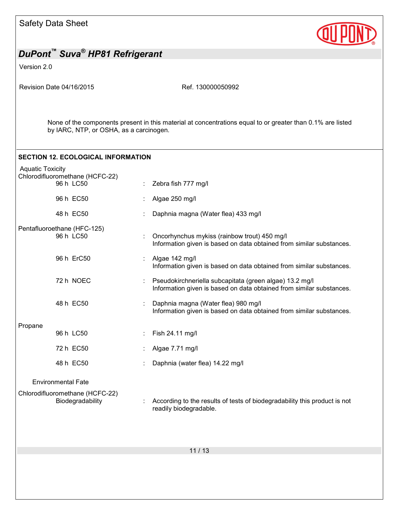

| DuPont <sup>"</sup> Suva <sup>®</sup> HP81 Refrigerant |                                                     |  |                                                                                                                                 |  |  |
|--------------------------------------------------------|-----------------------------------------------------|--|---------------------------------------------------------------------------------------------------------------------------------|--|--|
| Version 2.0                                            |                                                     |  |                                                                                                                                 |  |  |
|                                                        | Revision Date 04/16/2015                            |  | Ref. 130000050992                                                                                                               |  |  |
|                                                        | by IARC, NTP, or OSHA, as a carcinogen.             |  | None of the components present in this material at concentrations equal to or greater than 0.1% are listed                      |  |  |
|                                                        | <b>SECTION 12. ECOLOGICAL INFORMATION</b>           |  |                                                                                                                                 |  |  |
| <b>Aquatic Toxicity</b>                                | Chlorodifluoromethane (HCFC-22)<br>96 h LC50        |  | Zebra fish 777 mg/l                                                                                                             |  |  |
|                                                        | 96 h EC50                                           |  | Algae 250 mg/l                                                                                                                  |  |  |
|                                                        | 48 h EC50                                           |  | Daphnia magna (Water flea) 433 mg/l                                                                                             |  |  |
|                                                        | Pentafluoroethane (HFC-125)<br>96 h LC50            |  | Oncorhynchus mykiss (rainbow trout) 450 mg/l<br>Information given is based on data obtained from similar substances.            |  |  |
|                                                        | 96 h ErC50                                          |  | Algae 142 mg/l<br>Information given is based on data obtained from similar substances.                                          |  |  |
|                                                        | 72 h NOEC                                           |  | Pseudokirchneriella subcapitata (green algae) 13.2 mg/l<br>Information given is based on data obtained from similar substances. |  |  |
|                                                        | 48 h EC50                                           |  | Daphnia magna (Water flea) 980 mg/l<br>Information given is based on data obtained from similar substances.                     |  |  |
| Propane                                                | 96 h LC50                                           |  | Fish 24.11 mg/l                                                                                                                 |  |  |
|                                                        | 72 h EC50                                           |  | Algae 7.71 mg/l                                                                                                                 |  |  |
|                                                        | 48 h EC50                                           |  | Daphnia (water flea) 14.22 mg/l                                                                                                 |  |  |
|                                                        | <b>Environmental Fate</b>                           |  |                                                                                                                                 |  |  |
|                                                        | Chlorodifluoromethane (HCFC-22)<br>Biodegradability |  | According to the results of tests of biodegradability this product is not<br>readily biodegradable.                             |  |  |
| 11/13                                                  |                                                     |  |                                                                                                                                 |  |  |
|                                                        |                                                     |  |                                                                                                                                 |  |  |
|                                                        |                                                     |  |                                                                                                                                 |  |  |
|                                                        |                                                     |  |                                                                                                                                 |  |  |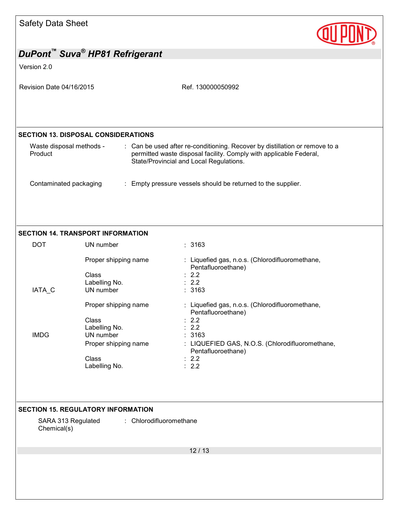| <b>Safety Data Sheet</b>            |                                                                                                               |                                                                                                                                                                                                   |
|-------------------------------------|---------------------------------------------------------------------------------------------------------------|---------------------------------------------------------------------------------------------------------------------------------------------------------------------------------------------------|
|                                     | DuPont <sup>™</sup> Suva <sup>®</sup> HP81 Refrigerant                                                        |                                                                                                                                                                                                   |
| Version 2.0                         |                                                                                                               |                                                                                                                                                                                                   |
| Revision Date 04/16/2015            |                                                                                                               | Ref. 130000050992                                                                                                                                                                                 |
|                                     | <b>SECTION 13. DISPOSAL CONSIDERATIONS</b>                                                                    |                                                                                                                                                                                                   |
| Waste disposal methods -<br>Product |                                                                                                               | : Can be used after re-conditioning. Recover by distillation or remove to a<br>permitted waste disposal facility. Comply with applicable Federal,<br>State/Provincial and Local Regulations.      |
| Contaminated packaging              |                                                                                                               | : Empty pressure vessels should be returned to the supplier.                                                                                                                                      |
|                                     | <b>SECTION 14. TRANSPORT INFORMATION</b>                                                                      |                                                                                                                                                                                                   |
| <b>DOT</b>                          | UN number                                                                                                     | : 3163                                                                                                                                                                                            |
| IATA_C                              | Proper shipping name<br>Class<br>Labelling No.<br>UN number                                                   | : Liquefied gas, n.o.s. (Chlorodifluoromethane,<br>Pentafluoroethane)<br>: 2.2<br>: 2.2<br>: 3163                                                                                                 |
| <b>IMDG</b>                         | Proper shipping name<br>Class<br>Labelling No.<br>UN number<br>Proper shipping name<br>Class<br>Labelling No. | : Liquefied gas, n.o.s. (Chlorodifluoromethane,<br>Pentafluoroethane)<br>2.2<br>2.2<br>3163<br>: LIQUEFIED GAS, N.O.S. (Chlorodifluoromethane,<br>Pentafluoroethane)<br>: 2.2<br>$\therefore$ 2.2 |
| SARA 313 Regulated<br>Chemical(s)   | <b>SECTION 15. REGULATORY INFORMATION</b><br>: Chlorodifluoromethane                                          |                                                                                                                                                                                                   |
|                                     |                                                                                                               | 12/13                                                                                                                                                                                             |